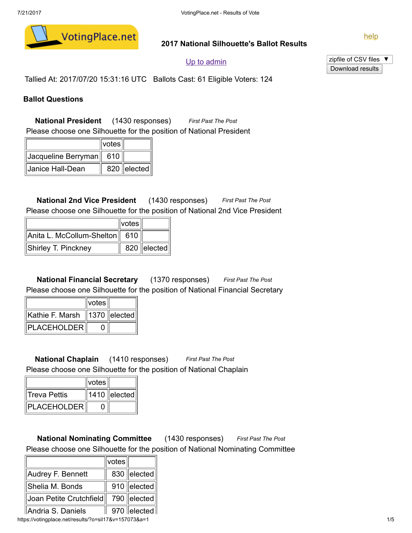

### 2017 National Silhouette's Ballot Results

[help](https://votingplace.net/results/?o=sil17&v=157073&a=1)

## Up to [admin](https://votingplace.net/admin?o=sil17)

zipfile of CSV files ▼ Download results

Tallied At: 2017/07/20 15:31:16 UTC Ballots Cast: 61 Eligible Voters: 124

## Ballot Questions

National President (1430 responses) First Past The Post Please choose one Silhouette for the position of National President

|                            | ∥votes∣ |               |
|----------------------------|---------|---------------|
| ∥Jacqueline Berryman∥  610 |         |               |
| ∥Janice Hall-Dean          |         | 820   elected |

National 2nd Vice President (1430 responses) First Past The Post Please choose one Silhouette for the position of National 2nd Vice President

|                                   | $\parallel$ votes $\parallel$ |                 |
|-----------------------------------|-------------------------------|-----------------|
| ∥Anita L. McCollum-Shelton∥  610∣ |                               |                 |
| Shirley T. Pinckney               |                               | $820$   elected |

National Financial Secretary (1370 responses) First Past The Post Please choose one Silhouette for the position of National Financial Secretary

|                                                  | $\parallel$ votes $\parallel$ |  |
|--------------------------------------------------|-------------------------------|--|
| $\ $ Kathie F. Marsh $\ $ 1370 $\ $ elected $\ $ |                               |  |
| ∥PLACEHOLDER∥                                    |                               |  |

National Chaplain (1410 responses) First Past The Post Please choose one Silhouette for the position of National Chaplain

|               | votes |                  |
|---------------|-------|------------------|
| ∣Treva Pettis |       | $1410$   elected |
| PLACEHOLDER   |       |                  |

National Nominating Committee (1430 responses) First Past The Post Please choose one Silhouette for the position of National Nominating Committee

| Audrey F. Bennett       | 830   elected |
|-------------------------|---------------|
| Shelia M. Bonds         | 910   elected |
| Joan Petite Crutchfield | 790 ∥elected∥ |
| Andria S. Daniels       | 970   elected |

https://votingplace.net/results/?o=sil17&v=157073&a=1 1/5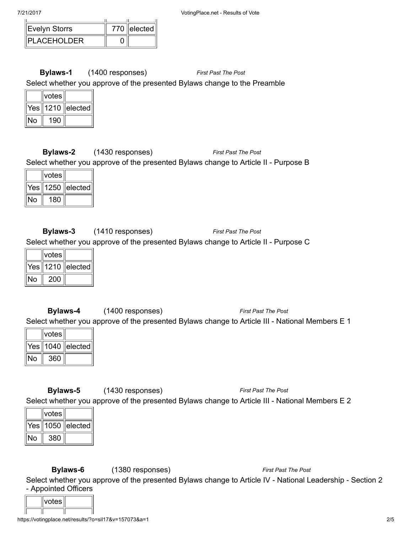| 17 Z.V T.T          |               |
|---------------------|---------------|
| Evelyn Storrs       | 770   elected |
| <b>IPLACEHOLDER</b> |               |

Bylaws-1 (1400 responses) First Past The Post Select whether you approve of the presented Bylaws change to the Preamble

| votes |                    |
|-------|--------------------|
|       | Yes∥1210 ∥elected∣ |
| 190   |                    |

Bylaws-2 (1430 responses) First Past The Post Select whether you approve of the presented Bylaws change to Article II - Purpose B

|     | votes |                |
|-----|-------|----------------|
| Yes |       | ∥1250 ∥elected |
|     | 180   |                |

Bylaws-3 (1410 responses) First Past The Post Select whether you approve of the presented Bylaws change to Article II - Purpose C

| votes |                   |
|-------|-------------------|
|       | Yes∥1210 ∥elected |
| 200   |                   |

Bylaws-4 (1400 responses) First Past The Post Select whether you approve of the presented Bylaws change to Article III - National Members E 1

| votes |                   |
|-------|-------------------|
|       | Yes∥1040 ∥elected |
| 360   |                   |

Bylaws-5 (1430 responses) First Past The Post Select whether you approve of the presented Bylaws change to Article III - National Members E 2

|    | votes |                   |
|----|-------|-------------------|
|    |       | Yes∥1050 ∥elected |
| J٥ | 380   |                   |

Bylaws-6 (1380 responses) First Past The Post

Select whether you approve of the presented Bylaws change to Article IV - National Leadership - Section 2 - Appointed Officers

| votes⊤ |  |
|--------|--|
|        |  |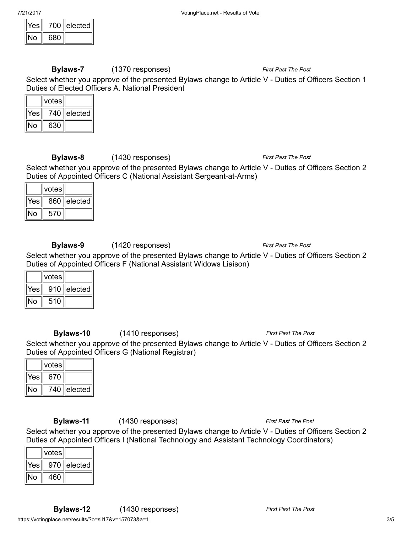| ≘≏ |     | elected |
|----|-----|---------|
|    | 680 |         |

Bylaws-7 (1370 responses) First Past The Post

Select whether you approve of the presented Bylaws change to Article V - Duties of Officers Section 1 Duties of Elected Officers A. National President

|     | votes |                     |
|-----|-------|---------------------|
| Yes | 740   | $\parallel$ elected |
|     | 630   |                     |

Bylaws-8 (1430 responses) First Past The Post

Select whether you approve of the presented Bylaws change to Article V - Duties of Officers Section 2 Duties of Appointed Officers C (National Assistant Sergeant-at-Arms)

|                  | ∣votes |                     |
|------------------|--------|---------------------|
| Yes <sup>"</sup> | 860    | $\parallel$ elected |
|                  | 570    |                     |

**Bylaws-9** (1420 responses) The Post The Post First Past The Post

Select whether you approve of the presented Bylaws change to Article V - Duties of Officers Section 2 Duties of Appointed Officers F (National Assistant Widows Liaison)

|     | votes |         |
|-----|-------|---------|
| Yes | 910   | elected |
|     | 510   |         |

Bylaws-10 (1410 responses) First Past The Post

Select whether you approve of the presented Bylaws change to Article V - Duties of Officers Section 2 Duties of Appointed Officers G (National Registrar)

|     | votes |                     |
|-----|-------|---------------------|
| Yes | 670   |                     |
|     | 740.  | $\parallel$ elected |

Bylaws-11 (1430 responses) First Past The Post

Select whether you approve of the presented Bylaws change to Article V - Duties of Officers Section 2 Duties of Appointed Officers I (National Technology and Assistant Technology Coordinators)

|     | votes |         |
|-----|-------|---------|
| Yes | 970   | elected |
|     | 460   |         |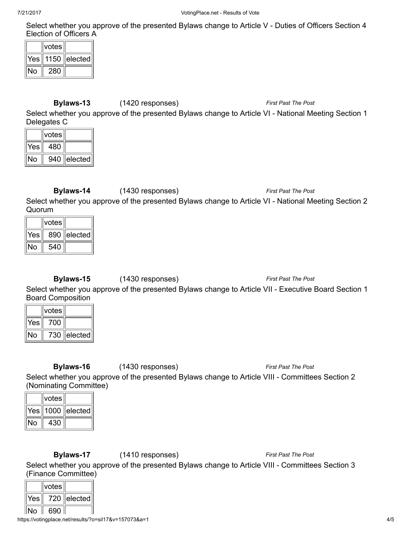Select whether you approve of the presented Bylaws change to Article V - Duties of Officers Section 4 Election of Officers A

| votes |                       |
|-------|-----------------------|
|       | Yes    1150   elected |
| 280   |                       |

# Bylaws-13 (1420 responses) First Past The Post

Select whether you approve of the presented Bylaws change to Article VI - National Meeting Section 1 Delegates C

|     | votes |                                 |
|-----|-------|---------------------------------|
| Yes | 480   |                                 |
| ໄດ  | 940   | $\parallel$ elected $\parallel$ |

**Bylaws-14** (1430 responses) The Post The Post The Post

Select whether you approve of the presented Bylaws change to Article VI - National Meeting Section 2 Quorum

|     | votes |                     |
|-----|-------|---------------------|
| Yes | 890   | $\parallel$ elected |
| Ω   | 540   |                     |

**Bylaws-15** (1430 responses) The *Post The Post First Past The Post* 

Select whether you approve of the presented Bylaws change to Article VII - Executive Board Section 1 Board Composition

|     | votes |                 |
|-----|-------|-----------------|
| Yes | 700   |                 |
|     | 730   | $ e $ ected $ $ |

**Bylaws-16** (1430 responses) First Past The Post

Select whether you approve of the presented Bylaws change to Article VIII - Committees Section 2 (Nominating Committee)

| votes |                   |
|-------|-------------------|
|       | Yes∥1000 ∥elected |
| 430   |                   |

Bylaws-17 (1410 responses) First Past The Post

Select whether you approve of the presented Bylaws change to Article VIII - Committees Section 3 (Finance Committee)

|     | votes |         |
|-----|-------|---------|
| Yes | 720   | elected |
|     |       |         |